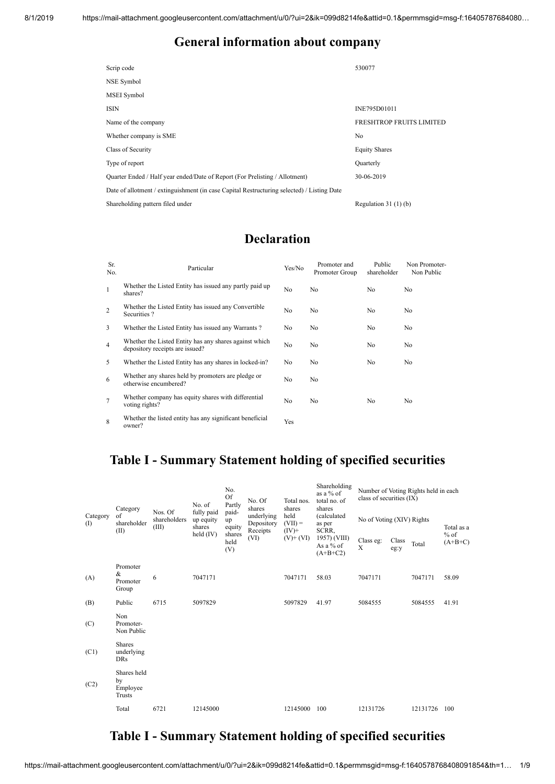#### **General information about company**

| Scrip code                                                                                 | 530077                          |
|--------------------------------------------------------------------------------------------|---------------------------------|
| NSE Symbol                                                                                 |                                 |
| MSEI Symbol                                                                                |                                 |
| <b>ISIN</b>                                                                                | INE795D01011                    |
| Name of the company                                                                        | <b>FRESHTROP FRUITS LIMITED</b> |
| Whether company is SME                                                                     | No                              |
| Class of Security                                                                          | <b>Equity Shares</b>            |
| Type of report                                                                             | Quarterly                       |
| Quarter Ended / Half year ended/Date of Report (For Prelisting / Allotment)                | 30-06-2019                      |
| Date of allotment / extinguishment (in case Capital Restructuring selected) / Listing Date |                                 |
| Shareholding pattern filed under                                                           | Regulation $31(1)(b)$           |

## **Declaration**

| Sr.<br>No.     | Particular                                                                                | Yes/No         | Promoter and<br>Promoter Group | Public<br>shareholder | Non Promoter-<br>Non Public |
|----------------|-------------------------------------------------------------------------------------------|----------------|--------------------------------|-----------------------|-----------------------------|
| $\mathbf{1}$   | Whether the Listed Entity has issued any partly paid up<br>shares?                        | N <sub>o</sub> | No                             | No                    | No                          |
| $\overline{2}$ | Whether the Listed Entity has issued any Convertible<br>Securities?                       | N <sub>o</sub> | N <sub>o</sub>                 | No                    | No                          |
| 3              | Whether the Listed Entity has issued any Warrants?                                        | No             | No                             | No                    | No                          |
| $\overline{4}$ | Whether the Listed Entity has any shares against which<br>depository receipts are issued? | No             | No                             | No                    | No                          |
| 5              | Whether the Listed Entity has any shares in locked-in?                                    | N <sub>o</sub> | No                             | No                    | No                          |
| 6              | Whether any shares held by promoters are pledge or<br>otherwise encumbered?               | No             | No                             |                       |                             |
| 7              | Whether company has equity shares with differential<br>voting rights?                     | No             | No                             | No                    | No                          |
| 8              | Whether the listed entity has any significant beneficial<br>owner?                        | Yes            |                                |                       |                             |

### **Table I - Summary Statement holding of specified securities**

| Category<br>$($ I | Category<br>of<br>shareholder<br>(II)     | Nos. Of<br>shareholders<br>(III) | No. of<br>fully paid<br>up equity<br>shares<br>held $(IV)$ | No.<br>Of<br>Partly                            | No. Of<br>shares                     | Total nos.<br>shares          | Shareholding<br>as a $%$ of<br>total no. of<br>shares | Number of Voting Rights held in each<br>class of securities (IX) |               |          |                                   |
|-------------------|-------------------------------------------|----------------------------------|------------------------------------------------------------|------------------------------------------------|--------------------------------------|-------------------------------|-------------------------------------------------------|------------------------------------------------------------------|---------------|----------|-----------------------------------|
|                   |                                           |                                  |                                                            | paid-<br>up<br>equity<br>shares<br>held<br>(V) | underlying<br>Depository<br>Receipts | held<br>$(VII) =$<br>$(IV)^+$ | <i>(calculated)</i><br>as per<br>SCRR,                | No of Voting (XIV) Rights                                        |               |          | Total as a<br>$%$ of<br>$(A+B+C)$ |
|                   |                                           |                                  |                                                            |                                                | (VI)                                 | $(V)$ + $(VI)$                | 1957) (VIII)<br>As a % of<br>$(A+B+C2)$               | Class eg:<br>$\mathbf x$                                         | Class<br>eg:y | Total    |                                   |
| (A)               | Promoter<br>&<br>Promoter<br>Group        | 6                                | 7047171                                                    |                                                |                                      | 7047171                       | 58.03                                                 | 7047171                                                          |               | 7047171  | 58.09                             |
| (B)               | Public                                    | 6715                             | 5097829                                                    |                                                |                                      | 5097829                       | 41.97                                                 | 5084555                                                          |               | 5084555  | 41.91                             |
| (C)               | Non<br>Promoter-<br>Non Public            |                                  |                                                            |                                                |                                      |                               |                                                       |                                                                  |               |          |                                   |
| (C1)              | <b>Shares</b><br>underlying<br><b>DRs</b> |                                  |                                                            |                                                |                                      |                               |                                                       |                                                                  |               |          |                                   |
| (C2)              | Shares held<br>by<br>Employee<br>Trusts   |                                  |                                                            |                                                |                                      |                               |                                                       |                                                                  |               |          |                                   |
|                   | Total                                     | 6721                             | 12145000                                                   |                                                |                                      | 12145000                      | 100                                                   | 12131726                                                         |               | 12131726 | 100                               |

## **Table I - Summary Statement holding of specified securities**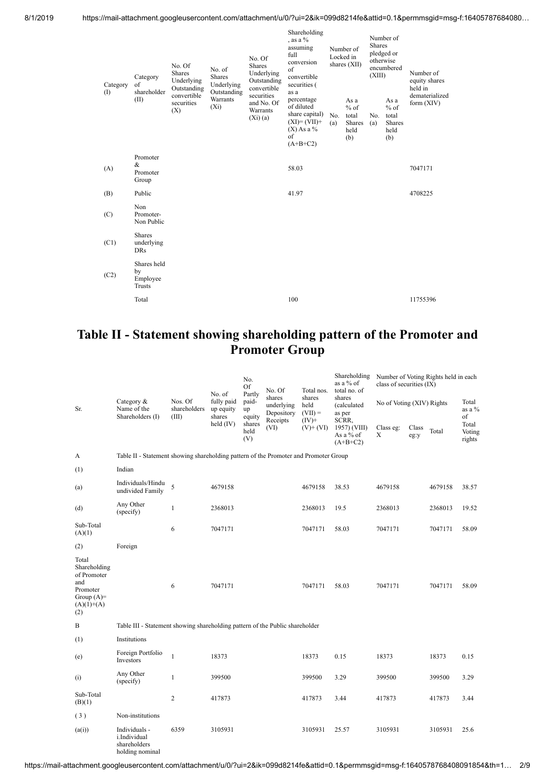| Category<br>$($ I | Category<br>of<br>shareholder<br>(II)     | No. Of<br><b>Shares</b><br>Underlying<br>Outstanding<br>convertible<br>securities<br>(X) | No. of<br><b>Shares</b><br>Underlying<br>Outstanding<br>Warrants<br>$(X_i)$ | No. Of<br>Shares<br>Underlying<br>Outstanding<br>convertible<br>securities<br>and No. Of<br>Warrants<br>(Xi)(a) | Shareholding<br>, as a $%$<br>assuming<br>full<br>conversion<br>of<br>convertible<br>securities (<br>as a<br>percentage<br>of diluted<br>share capital)<br>$(XI)=(VII)+$<br>$(X)$ As a %<br>of | No.<br>(a) | Number of<br>Locked in<br>shares $(XII)$<br>As a<br>$%$ of<br>total<br>Shares<br>held<br>(b) | <b>Shares</b><br>otherwise<br>(XIII)<br>No.<br>(a) | Number of<br>pledged or<br>encumbered<br>As a<br>$%$ of<br>total<br>Shares<br>held<br>(b) | Number of<br>equity shares<br>held in<br>dematerialized<br>form $(XIV)$ |
|-------------------|-------------------------------------------|------------------------------------------------------------------------------------------|-----------------------------------------------------------------------------|-----------------------------------------------------------------------------------------------------------------|------------------------------------------------------------------------------------------------------------------------------------------------------------------------------------------------|------------|----------------------------------------------------------------------------------------------|----------------------------------------------------|-------------------------------------------------------------------------------------------|-------------------------------------------------------------------------|
|                   |                                           |                                                                                          |                                                                             |                                                                                                                 | $(A+B+C2)$                                                                                                                                                                                     |            |                                                                                              |                                                    |                                                                                           |                                                                         |
| (A)               | Promoter<br>&<br>Promoter<br>Group        |                                                                                          |                                                                             |                                                                                                                 | 58.03                                                                                                                                                                                          |            |                                                                                              |                                                    |                                                                                           | 7047171                                                                 |
| (B)               | Public                                    |                                                                                          |                                                                             |                                                                                                                 | 41.97                                                                                                                                                                                          |            |                                                                                              |                                                    |                                                                                           | 4708225                                                                 |
| (C)               | Non<br>Promoter-<br>Non Public            |                                                                                          |                                                                             |                                                                                                                 |                                                                                                                                                                                                |            |                                                                                              |                                                    |                                                                                           |                                                                         |
| (C1)              | <b>Shares</b><br>underlying<br><b>DRs</b> |                                                                                          |                                                                             |                                                                                                                 |                                                                                                                                                                                                |            |                                                                                              |                                                    |                                                                                           |                                                                         |
| (C2)              | Shares held<br>by<br>Employee<br>Trusts   |                                                                                          |                                                                             |                                                                                                                 |                                                                                                                                                                                                |            |                                                                                              |                                                    |                                                                                           |                                                                         |
|                   | Total                                     |                                                                                          |                                                                             |                                                                                                                 | 100                                                                                                                                                                                            |            |                                                                                              |                                                    |                                                                                           | 11755396                                                                |

### **Table II - Statement showing shareholding pattern of the Promoter and Promoter Group**

| Sr.                                                                                            | Category &<br>Name of the<br>Shareholders (I)                                        | Nos. Of<br>shareholders<br>(III) | No. of                            | No.<br><b>Of</b><br>Partly | No. Of<br>shares                     | Total nos.                              | Shareholding<br>as a % of<br>total no. of<br>shares<br>(calculated<br>as per<br>SCRR, | Number of Voting Rights held in each<br>class of securities (IX) |               |         |                           |
|------------------------------------------------------------------------------------------------|--------------------------------------------------------------------------------------|----------------------------------|-----------------------------------|----------------------------|--------------------------------------|-----------------------------------------|---------------------------------------------------------------------------------------|------------------------------------------------------------------|---------------|---------|---------------------------|
|                                                                                                |                                                                                      |                                  | fully paid<br>up equity<br>shares | paid-<br>up<br>equity      | underlying<br>Depository<br>Receipts | shares<br>held<br>$(VII) =$<br>$(IV)^+$ |                                                                                       | No of Voting (XIV) Rights                                        |               |         | Total<br>as a %<br>of     |
|                                                                                                |                                                                                      |                                  | held $(IV)$                       | shares<br>held<br>(V)      | (VI)                                 | $(V)$ + $(VI)$                          | 1957) (VIII)<br>As a $%$ of<br>$(A+B+C2)$                                             | Class eg:<br>X                                                   | Class<br>eg:y | Total   | Total<br>Voting<br>rights |
| A                                                                                              | Table II - Statement showing shareholding pattern of the Promoter and Promoter Group |                                  |                                   |                            |                                      |                                         |                                                                                       |                                                                  |               |         |                           |
| (1)                                                                                            | Indian                                                                               |                                  |                                   |                            |                                      |                                         |                                                                                       |                                                                  |               |         |                           |
| (a)                                                                                            | Individuals/Hindu<br>undivided Family                                                | 5                                | 4679158                           |                            |                                      | 4679158                                 | 38.53                                                                                 | 4679158                                                          |               | 4679158 | 38.57                     |
| (d)                                                                                            | Any Other<br>(specify)                                                               | $\mathbf{1}$                     | 2368013                           |                            |                                      | 2368013                                 | 19.5                                                                                  | 2368013                                                          |               | 2368013 | 19.52                     |
| Sub-Total<br>(A)(1)                                                                            |                                                                                      | 6                                | 7047171                           |                            |                                      | 7047171                                 | 58.03                                                                                 | 7047171                                                          |               | 7047171 | 58.09                     |
| (2)                                                                                            | Foreign                                                                              |                                  |                                   |                            |                                      |                                         |                                                                                       |                                                                  |               |         |                           |
| Total<br>Shareholding<br>of Promoter<br>and<br>Promoter<br>Group $(A)=$<br>$(A)(1)+(A)$<br>(2) |                                                                                      | 6                                | 7047171                           |                            |                                      | 7047171                                 | 58.03                                                                                 | 7047171                                                          |               | 7047171 | 58.09                     |
| B                                                                                              | Table III - Statement showing shareholding pattern of the Public shareholder         |                                  |                                   |                            |                                      |                                         |                                                                                       |                                                                  |               |         |                           |
| (1)                                                                                            | Institutions                                                                         |                                  |                                   |                            |                                      |                                         |                                                                                       |                                                                  |               |         |                           |
| (e)                                                                                            | Foreign Portfolio<br>Investors                                                       | $\mathbf{1}$                     | 18373                             |                            |                                      | 18373                                   | 0.15                                                                                  | 18373                                                            |               | 18373   | 0.15                      |
| (i)                                                                                            | Any Other<br>(specify)                                                               | 1                                | 399500                            |                            |                                      | 399500                                  | 3.29                                                                                  | 399500                                                           |               | 399500  | 3.29                      |
| Sub-Total<br>(B)(1)                                                                            |                                                                                      | $\overline{c}$                   | 417873                            |                            |                                      | 417873                                  | 3.44                                                                                  | 417873                                                           |               | 417873  | 3.44                      |
| (3)                                                                                            | Non-institutions                                                                     |                                  |                                   |                            |                                      |                                         |                                                                                       |                                                                  |               |         |                           |
| (a(i))                                                                                         | Individuals -<br>i.Individual<br>shareholders<br>holding nominal                     | 6359                             | 3105931                           |                            |                                      | 3105931                                 | 25.57                                                                                 | 3105931                                                          |               | 3105931 | 25.6                      |

https://mail-attachment.googleusercontent.com/attachment/u/0/?ui=2&ik=099d8214fe&attid=0.1&permmsgid=msg-f:1640578768408091854&th=1… 2/9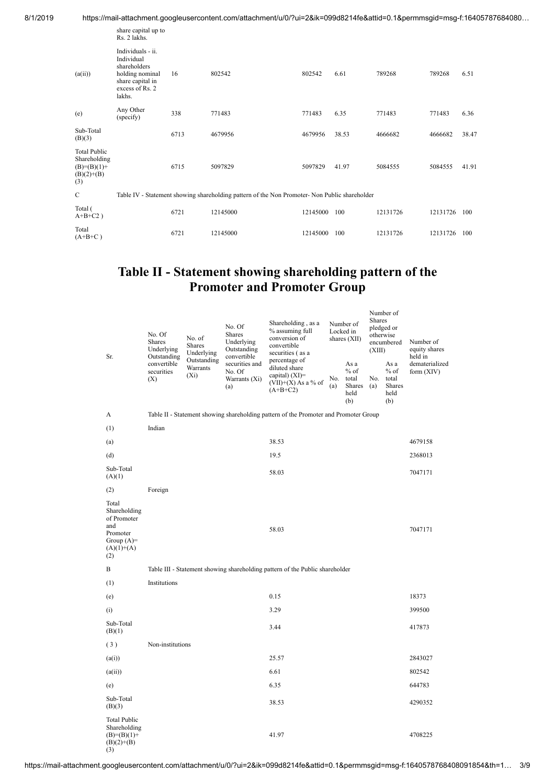| 8/1/2019 | https://mail-attachment.googleusercontent.com/attachment/u/0/?ui=2&ik=099d8214fe&attid=0.1&permmsgid=msg-f:16405787684080… |
|----------|----------------------------------------------------------------------------------------------------------------------------|
|          | المفاسد المغثموم معمولات                                                                                                   |

|                                                                             | share capital up to<br>Rs. 2 lakhs.                                                                                 |      |                                                                                               |          |       |          |          |       |
|-----------------------------------------------------------------------------|---------------------------------------------------------------------------------------------------------------------|------|-----------------------------------------------------------------------------------------------|----------|-------|----------|----------|-------|
| (a(ii))                                                                     | Individuals - ii.<br>Individual<br>shareholders<br>holding nominal<br>share capital in<br>excess of Rs. 2<br>lakhs. | 16   | 802542                                                                                        | 802542   | 6.61  | 789268   | 789268   | 6.51  |
| (e)                                                                         | Any Other<br>(specify)                                                                                              | 338  | 771483                                                                                        | 771483   | 6.35  | 771483   | 771483   | 6.36  |
| Sub-Total<br>(B)(3)                                                         |                                                                                                                     | 6713 | 4679956                                                                                       | 4679956  | 38.53 | 4666682  | 4666682  | 38.47 |
| <b>Total Public</b><br>Shareholding<br>$(B)=(B)(1)+$<br>$(B)(2)+(B)$<br>(3) |                                                                                                                     | 6715 | 5097829                                                                                       | 5097829  | 41.97 | 5084555  | 5084555  | 41.91 |
| C                                                                           |                                                                                                                     |      | Table IV - Statement showing shareholding pattern of the Non Promoter- Non Public shareholder |          |       |          |          |       |
| Total (<br>$A+B+C2$ )                                                       |                                                                                                                     | 6721 | 12145000                                                                                      | 12145000 | 100   | 12131726 | 12131726 | 100   |
| Total<br>$(A+B+C)$                                                          |                                                                                                                     | 6721 | 12145000                                                                                      | 12145000 | 100   | 12131726 | 12131726 | 100   |
|                                                                             |                                                                                                                     |      |                                                                                               |          |       |          |          |       |

#### **Table II - Statement showing shareholding pattern of the Promoter and Promoter Group**

Number of

| Sr.                                                                                            | No. Of<br>Shares<br>Underlying<br>Outstanding<br>convertible<br>securities<br>(X) | No. of<br><b>Shares</b><br>Underlying | No. Of<br>Shares<br>Underlying<br>Outstanding<br>convertible | Shareholding, as a<br>% assuming full<br>conversion of<br>convertible<br>securities (as a<br>percentage of |            | Number of<br>Locked in<br>shares (XII)           |            | Shares<br>pledged or<br>otherwise<br>encumbered<br>(XIII) | Number of<br>equity shares<br>held in |
|------------------------------------------------------------------------------------------------|-----------------------------------------------------------------------------------|---------------------------------------|--------------------------------------------------------------|------------------------------------------------------------------------------------------------------------|------------|--------------------------------------------------|------------|-----------------------------------------------------------|---------------------------------------|
|                                                                                                |                                                                                   | Outstanding<br>Warrants<br>$(X_i)$    | securities and<br>No. Of<br>Warrants (Xi)<br>(a)             | diluted share<br>capital) (XI)=<br>$(VII)+(X)$ As a % of<br>$(A+B+C2)$                                     | No.<br>(a) | As a<br>$%$ of<br>total<br>Shares<br>held<br>(b) | No.<br>(a) | As a<br>$%$ of<br>total<br>Shares<br>held<br>(b)          | dematerialized<br>form $(XIV)$        |
| A                                                                                              |                                                                                   |                                       |                                                              | Table II - Statement showing shareholding pattern of the Promoter and Promoter Group                       |            |                                                  |            |                                                           |                                       |
| (1)                                                                                            | Indian                                                                            |                                       |                                                              |                                                                                                            |            |                                                  |            |                                                           |                                       |
| (a)                                                                                            |                                                                                   |                                       |                                                              | 38.53                                                                                                      |            |                                                  |            |                                                           | 4679158                               |
| (d)                                                                                            |                                                                                   |                                       |                                                              | 19.5                                                                                                       |            |                                                  |            |                                                           | 2368013                               |
| Sub-Total<br>(A)(1)                                                                            |                                                                                   |                                       |                                                              | 58.03                                                                                                      |            |                                                  |            |                                                           | 7047171                               |
| (2)                                                                                            | Foreign                                                                           |                                       |                                                              |                                                                                                            |            |                                                  |            |                                                           |                                       |
| Total<br>Shareholding<br>of Promoter<br>and<br>Promoter<br>Group $(A)=$<br>$(A)(1)+(A)$<br>(2) |                                                                                   |                                       |                                                              | 58.03                                                                                                      |            |                                                  |            |                                                           | 7047171                               |
| B                                                                                              |                                                                                   |                                       |                                                              | Table III - Statement showing shareholding pattern of the Public shareholder                               |            |                                                  |            |                                                           |                                       |
| (1)                                                                                            | Institutions                                                                      |                                       |                                                              |                                                                                                            |            |                                                  |            |                                                           |                                       |
| (e)                                                                                            |                                                                                   |                                       |                                                              | 0.15                                                                                                       |            |                                                  |            |                                                           | 18373                                 |
| (i)                                                                                            |                                                                                   |                                       |                                                              | 3.29                                                                                                       |            |                                                  |            |                                                           | 399500                                |
| Sub-Total<br>(B)(1)                                                                            |                                                                                   |                                       |                                                              | 3.44                                                                                                       |            |                                                  |            |                                                           | 417873                                |
| (3)                                                                                            | Non-institutions                                                                  |                                       |                                                              |                                                                                                            |            |                                                  |            |                                                           |                                       |
| (a(i))                                                                                         |                                                                                   |                                       |                                                              | 25.57                                                                                                      |            |                                                  |            |                                                           | 2843027                               |
| (a(ii))                                                                                        |                                                                                   |                                       |                                                              | 6.61                                                                                                       |            |                                                  |            |                                                           | 802542                                |
| (e)                                                                                            |                                                                                   |                                       |                                                              | 6.35                                                                                                       |            |                                                  |            |                                                           | 644783                                |
| Sub-Total<br>(B)(3)                                                                            |                                                                                   |                                       |                                                              | 38.53                                                                                                      |            |                                                  |            |                                                           | 4290352                               |
| <b>Total Public</b><br>Shareholding<br>$(B)=(B)(1)+$<br>$(B)(2)+(B)$<br>(3)                    |                                                                                   |                                       |                                                              | 41.97                                                                                                      |            |                                                  |            |                                                           | 4708225                               |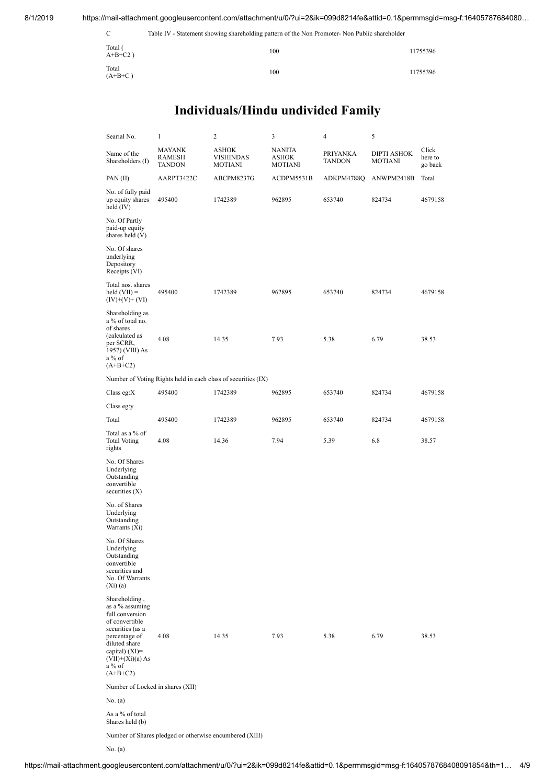8/1/2019 https://mail-attachment.googleusercontent.com/attachment/u/0/?ui=2&ik=099d8214fe&attid=0.1&permmsgid=msg-f:16405787684080…

| C                     | Table IV - Statement showing shareholding pattern of the Non Promoter- Non Public shareholder |          |
|-----------------------|-----------------------------------------------------------------------------------------------|----------|
| Total (<br>$A+B+C2$ ) | 100                                                                                           | 11755396 |
| Total<br>$(A+B+C)$    | 100                                                                                           | 11755396 |

## **Individuals/Hindu undivided Family**

| Searial No.                                                                                                                                                                                   | $\mathbf{1}$                                            | 2                                                             | 3                                 | 4                         | 5                                    |                             |
|-----------------------------------------------------------------------------------------------------------------------------------------------------------------------------------------------|---------------------------------------------------------|---------------------------------------------------------------|-----------------------------------|---------------------------|--------------------------------------|-----------------------------|
| Name of the<br>Shareholders (I)                                                                                                                                                               | <b>MAYANK</b><br><b>RAMESH</b><br>TANDON                | <b>ASHOK</b><br><b>VISHINDAS</b><br>MOTIANI                   | <b>NANITA</b><br>ASHOK<br>MOTIANI | PRIYANKA<br><b>TANDON</b> | <b>DIPTI ASHOK</b><br><b>MOTIANI</b> | Click<br>here to<br>go back |
| PAN (II)                                                                                                                                                                                      | AARPT3422C                                              | ABCPM8237G                                                    | ACDPM5531B                        | ADKPM4788Q                | ANWPM2418B                           | Total                       |
| No. of fully paid<br>up equity shares<br>held $(IV)$                                                                                                                                          | 495400                                                  | 1742389                                                       | 962895                            | 653740                    | 824734                               | 4679158                     |
| No. Of Partly<br>paid-up equity<br>shares held (V)                                                                                                                                            |                                                         |                                                               |                                   |                           |                                      |                             |
| No. Of shares<br>underlying<br>Depository<br>Receipts (VI)                                                                                                                                    |                                                         |                                                               |                                   |                           |                                      |                             |
| Total nos. shares<br>$\text{held (VII)} =$<br>$(IV)+(V)+(VI)$                                                                                                                                 | 495400                                                  | 1742389                                                       | 962895                            | 653740                    | 824734                               | 4679158                     |
| Shareholding as<br>a % of total no.<br>of shares<br>(calculated as<br>per SCRR,<br>1957) (VIII) As<br>a % of<br>$(A+B+C2)$                                                                    | 4.08                                                    | 14.35                                                         | 7.93                              | 5.38                      | 6.79                                 | 38.53                       |
|                                                                                                                                                                                               |                                                         | Number of Voting Rights held in each class of securities (IX) |                                   |                           |                                      |                             |
| Class eg: $X$                                                                                                                                                                                 | 495400                                                  | 1742389                                                       | 962895                            | 653740                    | 824734                               | 4679158                     |
| Class eg:y                                                                                                                                                                                    |                                                         |                                                               |                                   |                           |                                      |                             |
| Total                                                                                                                                                                                         | 495400                                                  | 1742389                                                       | 962895                            | 653740                    | 824734                               | 4679158                     |
| Total as a % of<br><b>Total Voting</b><br>rights                                                                                                                                              | 4.08                                                    | 14.36                                                         | 7.94                              | 5.39                      | 6.8                                  | 38.57                       |
| No. Of Shares<br>Underlying<br>Outstanding<br>convertible<br>securities $(X)$                                                                                                                 |                                                         |                                                               |                                   |                           |                                      |                             |
| No. of Shares<br>Underlying<br>Outstanding<br>Warrants (Xi)                                                                                                                                   |                                                         |                                                               |                                   |                           |                                      |                             |
| No. Of Shares<br>Underlying<br>Outstanding<br>convertible<br>securities and<br>No. Of Warrants<br>(Xi)(a)                                                                                     |                                                         |                                                               |                                   |                           |                                      |                             |
| Shareholding,<br>as a % assuming<br>full conversion<br>of convertible<br>securities (as a<br>percentage of<br>diluted share<br>capital) $(XI)=$<br>$(VII)+(Xi)(a) As$<br>a % of<br>$(A+B+C2)$ | 4.08                                                    | 14.35                                                         | 7.93                              | 5.38                      | 6.79                                 | 38.53                       |
| Number of Locked in shares (XII)                                                                                                                                                              |                                                         |                                                               |                                   |                           |                                      |                             |
| No. (a)                                                                                                                                                                                       |                                                         |                                                               |                                   |                           |                                      |                             |
| As a % of total<br>Shares held (b)                                                                                                                                                            |                                                         |                                                               |                                   |                           |                                      |                             |
|                                                                                                                                                                                               | Number of Shares pledged or otherwise encumbered (XIII) |                                                               |                                   |                           |                                      |                             |

No. (a)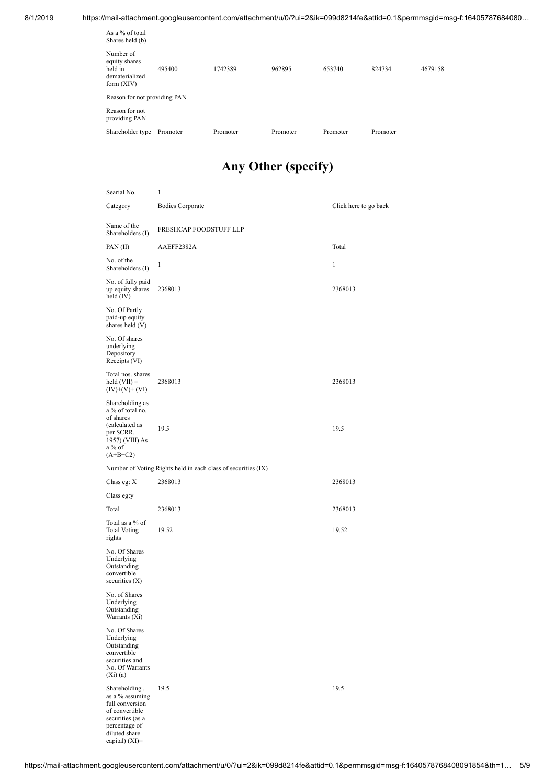8/1/2019 https://mail-attachment.googleusercontent.com/attachment/u/0/?ui=2&ik=099d8214fe&attid=0.1&permmsgid=msg-f:16405787684080…

| As a $%$ of total<br>Shares held (b)                                    |          |          |          |          |          |         |
|-------------------------------------------------------------------------|----------|----------|----------|----------|----------|---------|
| Number of<br>equity shares<br>held in<br>dematerialized<br>form $(XIV)$ | 495400   | 1742389  | 962895   | 653740   | 824734   | 4679158 |
| Reason for not providing PAN                                            |          |          |          |          |          |         |
| Reason for not<br>providing PAN                                         |          |          |          |          |          |         |
| Shareholder type                                                        | Promoter | Promoter | Promoter | Promoter | Promoter |         |

## **Any Other (specify)**

| Searial No.                                                                                                                                   | 1                                                             |                       |
|-----------------------------------------------------------------------------------------------------------------------------------------------|---------------------------------------------------------------|-----------------------|
| Category                                                                                                                                      | <b>Bodies Corporate</b>                                       | Click here to go back |
| Name of the<br>Shareholders (I)                                                                                                               | FRESHCAP FOODSTUFF LLP                                        |                       |
| PAN $(II)$                                                                                                                                    | AAEFF2382A                                                    | Total                 |
| No. of the<br>Shareholders (I)                                                                                                                | 1                                                             | $\mathbf{1}$          |
| No. of fully paid<br>up equity shares<br>held $(IV)$                                                                                          | 2368013                                                       | 2368013               |
| No. Of Partly<br>paid-up equity<br>shares held $(V)$                                                                                          |                                                               |                       |
| No. Of shares<br>underlying<br>Depository<br>Receipts (VI)                                                                                    |                                                               |                       |
| Total nos. shares<br>held $(VII) =$<br>$(IV)+(V)+(VI)$                                                                                        | 2368013                                                       | 2368013               |
| Shareholding as<br>a % of total no.<br>of shares<br>(calculated as                                                                            | 19.5                                                          |                       |
| per SCRR,<br>1957) (VIII) As<br>$a\%$ of<br>$(A+B+C2)$                                                                                        |                                                               | 19.5                  |
|                                                                                                                                               | Number of Voting Rights held in each class of securities (IX) |                       |
| Class eg: $X$                                                                                                                                 | 2368013                                                       | 2368013               |
| Class eg:y                                                                                                                                    |                                                               |                       |
| Total                                                                                                                                         | 2368013                                                       | 2368013               |
| Total as a % of<br><b>Total Voting</b><br>rights                                                                                              | 19.52                                                         | 19.52                 |
| No. Of Shares<br>Underlying<br>Outstanding<br>convertible<br>securities $(X)$                                                                 |                                                               |                       |
| No. of Shares<br>Underlying<br>Outstanding<br>Warrants (Xi)                                                                                   |                                                               |                       |
| No. Of Shares<br>Underlying<br>Outstanding<br>convertible<br>securities and<br>No. Of Warrants<br>$(X_i)(a)$                                  |                                                               |                       |
| Shareholding,<br>as a % assuming<br>full conversion<br>of convertible<br>securities (as a<br>percentage of<br>diluted share<br>capital) (XI)= | 19.5                                                          | 19.5                  |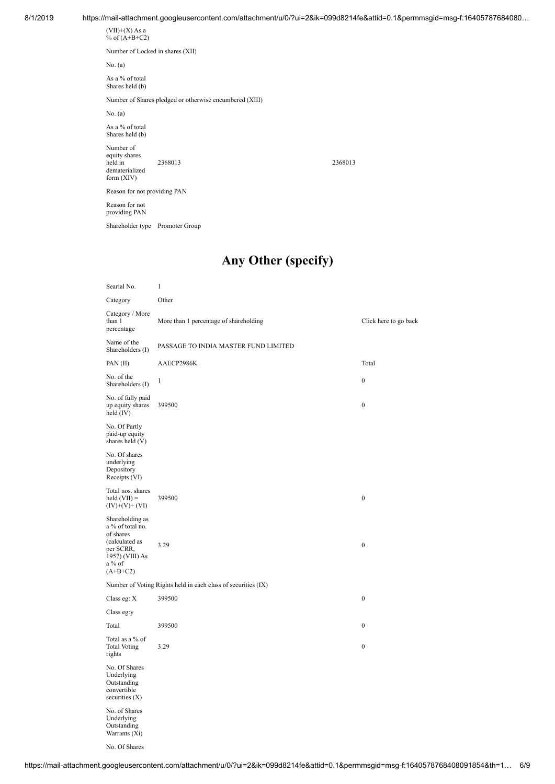$(VII)+(X)$  As a % of  $(A+B+C2)$ Number of Locked in shares (XII)

No. (a)

As a % of total Shares held (b)

Number of Shares pledged or otherwise encumbered (XIII)

No. (a)

As a % of total Shares held (b)

Number of equity shares held in dematerialized form (XIV) 2368013 2368013

Reason for not providing PAN

Reason for not providing PAN

Searial No. 1

Shareholder type Promoter Group

#### **Any Other (specify)**

| Category                                                                                                                   | Other                                                         |                       |
|----------------------------------------------------------------------------------------------------------------------------|---------------------------------------------------------------|-----------------------|
| Category / More<br>than 1<br>percentage                                                                                    | More than 1 percentage of shareholding                        | Click here to go back |
| Name of the<br>Shareholders (I)                                                                                            | PASSAGE TO INDIA MASTER FUND LIMITED                          |                       |
| PAN (II)                                                                                                                   | AAECP2986K                                                    | Total                 |
| No. of the<br>Shareholders (I)                                                                                             | $\mathbf{1}$                                                  | $\boldsymbol{0}$      |
| No. of fully paid<br>up equity shares<br>held $(IV)$                                                                       | 399500                                                        | $\boldsymbol{0}$      |
| No. Of Partly<br>paid-up equity<br>shares held (V)                                                                         |                                                               |                       |
| No. Of shares<br>underlying<br>Depository<br>Receipts (VI)                                                                 |                                                               |                       |
| Total nos. shares<br>held $(VII) =$<br>$(IV)+(V)+(VI)$                                                                     | 399500                                                        | $\boldsymbol{0}$      |
| Shareholding as<br>a % of total no.<br>of shares<br>(calculated as<br>per SCRR,<br>1957) (VIII) As<br>a % of<br>$(A+B+C2)$ | 3.29                                                          | $\boldsymbol{0}$      |
|                                                                                                                            | Number of Voting Rights held in each class of securities (IX) |                       |
| Class eg: X                                                                                                                | 399500                                                        | $\boldsymbol{0}$      |
| Class eg:y                                                                                                                 |                                                               |                       |
| Total                                                                                                                      | 399500                                                        | $\boldsymbol{0}$      |
| Total as a % of<br><b>Total Voting</b><br>rights                                                                           | 3.29                                                          | $\boldsymbol{0}$      |
| No. Of Shares<br>Underlying<br>Outstanding<br>convertible<br>securities $(X)$                                              |                                                               |                       |
| No. of Shares<br>Underlying<br>Outstanding<br>Warrants (Xi)                                                                |                                                               |                       |

No. Of Shares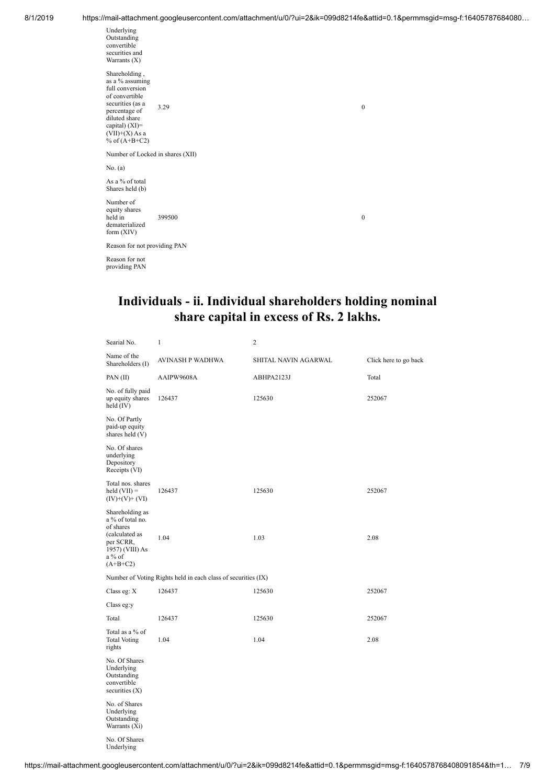| Underlying<br>Outstanding<br>convertible<br>securities and<br>Warrants (X)                                                                                                             |        |              |
|----------------------------------------------------------------------------------------------------------------------------------------------------------------------------------------|--------|--------------|
| Shareholding,<br>as a % assuming<br>full conversion<br>of convertible<br>securities (as a<br>percentage of<br>diluted share<br>capital) $(XI)=$<br>$(VII)+(X)$ As a<br>% of $(A+B+C2)$ | 3.29   | $\mathbf{0}$ |
| Number of Locked in shares (XII)                                                                                                                                                       |        |              |
| No. (a)                                                                                                                                                                                |        |              |
| As a % of total<br>Shares held (b)                                                                                                                                                     |        |              |
| Number of<br>equity shares<br>held in<br>dematerialized<br>form (XIV)                                                                                                                  | 399500 | $\mathbf{0}$ |
| Reason for not providing PAN                                                                                                                                                           |        |              |
| Reason for not<br>providing PAN                                                                                                                                                        |        |              |

### **Individuals - ii. Individual shareholders holding nominal share capital in excess of Rs. 2 lakhs.**

| Searial No.                                                                                                                | $\mathbf{1}$                                                  | 2                    |                       |
|----------------------------------------------------------------------------------------------------------------------------|---------------------------------------------------------------|----------------------|-----------------------|
| Name of the<br>Shareholders (I)                                                                                            | AVINASH P WADHWA                                              | SHITAL NAVIN AGARWAL | Click here to go back |
| PAN (II)                                                                                                                   | AAIPW9608A                                                    | ABHPA2123J           | Total                 |
| No. of fully paid<br>up equity shares<br>held $(IV)$                                                                       | 126437                                                        | 125630               | 252067                |
| No. Of Partly<br>paid-up equity<br>shares held (V)                                                                         |                                                               |                      |                       |
| No. Of shares<br>underlying<br>Depository<br>Receipts (VI)                                                                 |                                                               |                      |                       |
| Total nos. shares<br>held $(VII) =$<br>$(IV)+(V)+(VI)$                                                                     | 126437                                                        | 125630               | 252067                |
| Shareholding as<br>a % of total no.<br>of shares<br>(calculated as<br>per SCRR,<br>1957) (VIII) As<br>a % of<br>$(A+B+C2)$ | 1.04                                                          | 1.03                 | 2.08                  |
|                                                                                                                            | Number of Voting Rights held in each class of securities (IX) |                      |                       |
| Class eg: $X$                                                                                                              | 126437                                                        | 125630               | 252067                |
| Class eg:y                                                                                                                 |                                                               |                      |                       |
| Total                                                                                                                      | 126437                                                        | 125630               | 252067                |
| Total as a % of<br><b>Total Voting</b><br>rights                                                                           | 1.04                                                          | 1.04                 | 2.08                  |
| No. Of Shares<br>Underlying<br>Outstanding<br>convertible<br>securities $(X)$                                              |                                                               |                      |                       |
| No. of Shares<br>Underlying<br>Outstanding<br>Warrants (Xi)                                                                |                                                               |                      |                       |
| No. Of Shares<br>Underlying                                                                                                |                                                               |                      |                       |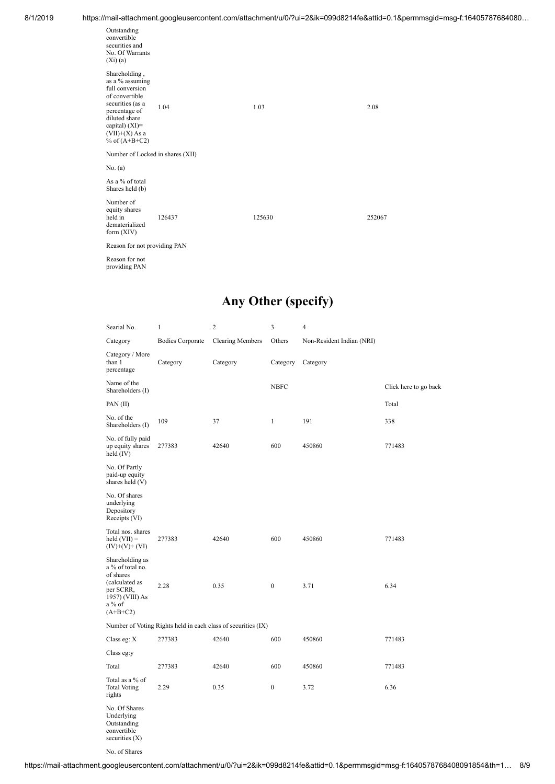|                                                                                                                                                                                      | annail attaoilliont.googioasoloontont.solillattaoilliontialoi : al-Ealit-000a021-lioaattia -0.1 |        |        |  |
|--------------------------------------------------------------------------------------------------------------------------------------------------------------------------------------|-------------------------------------------------------------------------------------------------|--------|--------|--|
| Outstanding<br>convertible<br>securities and<br>No. Of Warrants<br>$(X_i)(a)$                                                                                                        |                                                                                                 |        |        |  |
| Shareholding,<br>as a % assuming<br>full conversion<br>of convertible<br>securities (as a<br>percentage of<br>diluted share<br>capital) (XI)=<br>$(VII)+(X)$ As a<br>% of $(A+B+C2)$ | 1.04                                                                                            | 1.03   | 2.08   |  |
| Number of Locked in shares (XII)                                                                                                                                                     |                                                                                                 |        |        |  |
| No. (a)                                                                                                                                                                              |                                                                                                 |        |        |  |
| As a % of total<br>Shares held (b)                                                                                                                                                   |                                                                                                 |        |        |  |
| Number of<br>equity shares<br>held in<br>dematerialized<br>form $(XIV)$                                                                                                              | 126437                                                                                          | 125630 | 252067 |  |
| Reason for not providing PAN                                                                                                                                                         |                                                                                                 |        |        |  |
| Reason for not<br>providing PAN                                                                                                                                                      |                                                                                                 |        |        |  |

## **Any Other (specify)**

| Searial No.                                                                                                                | $\mathbf{1}$            | $\overline{c}$                                                | 3                | 4                         |                       |  |
|----------------------------------------------------------------------------------------------------------------------------|-------------------------|---------------------------------------------------------------|------------------|---------------------------|-----------------------|--|
| Category                                                                                                                   | <b>Bodies Corporate</b> | <b>Clearing Members</b>                                       | Others           | Non-Resident Indian (NRI) |                       |  |
| Category / More<br>than 1<br>percentage                                                                                    | Category                | Category                                                      | Category         | Category                  |                       |  |
| Name of the<br>Shareholders (I)                                                                                            |                         |                                                               | <b>NBFC</b>      |                           | Click here to go back |  |
| PAN (II)                                                                                                                   |                         |                                                               |                  |                           | Total                 |  |
| No. of the<br>Shareholders (I)                                                                                             | 109                     | 37                                                            | $\mathbf{1}$     | 191                       | 338                   |  |
| No. of fully paid<br>up equity shares<br>held $(IV)$                                                                       | 277383                  | 42640                                                         | 600              | 450860                    | 771483                |  |
| No. Of Partly<br>paid-up equity<br>shares held (V)                                                                         |                         |                                                               |                  |                           |                       |  |
| No. Of shares<br>underlying<br>Depository<br>Receipts (VI)                                                                 |                         |                                                               |                  |                           |                       |  |
| Total nos. shares<br>held $(VII) =$<br>$(IV)+(V)+(VI)$                                                                     | 277383                  | 42640                                                         | 600              | 450860                    | 771483                |  |
| Shareholding as<br>a % of total no.<br>of shares<br>(calculated as<br>per SCRR,<br>1957) (VIII) As<br>a % of<br>$(A+B+C2)$ | 0.35<br>2.28            |                                                               | $\boldsymbol{0}$ | 3.71                      | 6.34                  |  |
|                                                                                                                            |                         | Number of Voting Rights held in each class of securities (IX) |                  |                           |                       |  |
| Class eg: X                                                                                                                | 277383                  | 42640                                                         | 600              | 450860                    | 771483                |  |
| Class eg:y                                                                                                                 |                         |                                                               |                  |                           |                       |  |
| Total                                                                                                                      | 277383                  | 42640                                                         | 600              | 450860                    | 771483                |  |
| Total as a % of<br><b>Total Voting</b><br>rights                                                                           | 2.29                    | 0.35                                                          | $\boldsymbol{0}$ | 3.72                      | 6.36                  |  |
| No. Of Shares<br>Underlying<br>Outstanding<br>convertible<br>securities $(X)$                                              |                         |                                                               |                  |                           |                       |  |

No. of Shares